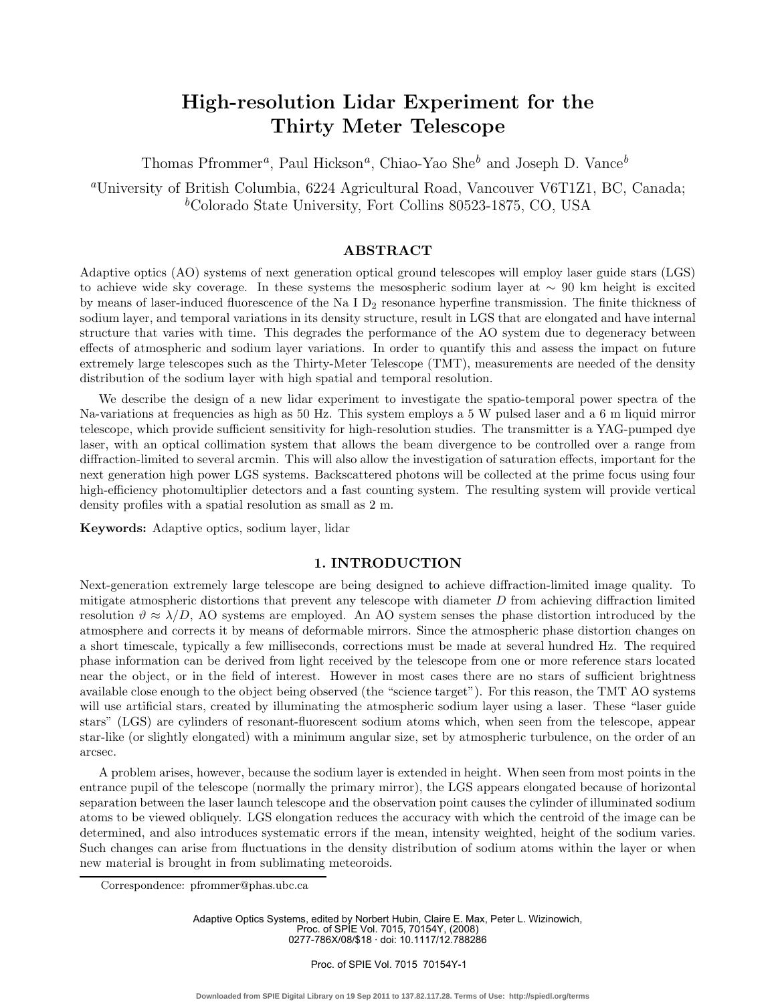# **High-resolution Lidar Experiment for the Thirty Meter Telescope**

Thomas Pfrommer*a*, Paul Hickson*a*, Chiao-Yao She*<sup>b</sup>* and Joseph D. Vance*<sup>b</sup>*

*<sup>a</sup>*University of British Columbia, 6224 Agricultural Road, Vancouver V6T1Z1, BC, Canada; *<sup>b</sup>*Colorado State University, Fort Collins 80523-1875, CO, USA

# **ABSTRACT**

Adaptive optics (AO) systems of next generation optical ground telescopes will employ laser guide stars (LGS) to achieve wide sky coverage. In these systems the mesospheric sodium layer at ∼ 90 km height is excited by means of laser-induced fluorescence of the Na I  $D_2$  resonance hyperfine transmission. The finite thickness of sodium layer, and temporal variations in its density structure, result in LGS that are elongated and have internal structure that varies with time. This degrades the performance of the AO system due to degeneracy between effects of atmospheric and sodium layer variations. In order to quantify this and assess the impact on future extremely large telescopes such as the Thirty-Meter Telescope (TMT), measurements are needed of the density distribution of the sodium layer with high spatial and temporal resolution.

We describe the design of a new lidar experiment to investigate the spatio-temporal power spectra of the Na-variations at frequencies as high as 50 Hz. This system employs a 5 W pulsed laser and a 6 m liquid mirror telescope, which provide sufficient sensitivity for high-resolution studies. The transmitter is a YAG-pumped dye laser, with an optical collimation system that allows the beam divergence to be controlled over a range from diffraction-limited to several arcmin. This will also allow the investigation of saturation effects, important for the next generation high power LGS systems. Backscattered photons will be collected at the prime focus using four high-efficiency photomultiplier detectors and a fast counting system. The resulting system will provide vertical density profiles with a spatial resolution as small as 2 m.

**Keywords:** Adaptive optics, sodium layer, lidar

# **1. INTRODUCTION**

Next-generation extremely large telescope are being designed to achieve diffraction-limited image quality. To mitigate atmospheric distortions that prevent any telescope with diameter  $D$  from achieving diffraction limited resolution  $\vartheta \approx \lambda/D$ , AO systems are employed. An AO system senses the phase distortion introduced by the atmosphere and corrects it by means of deformable mirrors. Since the atmospheric phase distortion changes on a short timescale, typically a few milliseconds, corrections must be made at several hundred Hz. The required phase information can be derived from light received by the telescope from one or more reference stars located near the object, or in the field of interest. However in most cases there are no stars of sufficient brightness available close enough to the object being observed (the "science target"). For this reason, the TMT AO systems will use artificial stars, created by illuminating the atmospheric sodium layer using a laser. These "laser guide" stars" (LGS) are cylinders of resonant-fluorescent sodium atoms which, when seen from the telescope, appear star-like (or slightly elongated) with a minimum angular size, set by atmospheric turbulence, on the order of an arcsec.

A problem arises, however, because the sodium layer is extended in height. When seen from most points in the entrance pupil of the telescope (normally the primary mirror), the LGS appears elongated because of horizontal separation between the laser launch telescope and the observation point causes the cylinder of illuminated sodium atoms to be viewed obliquely. LGS elongation reduces the accuracy with which the centroid of the image can be determined, and also introduces systematic errors if the mean, intensity weighted, height of the sodium varies. Such changes can arise from fluctuations in the density distribution of sodium atoms within the layer or when new material is brought in from sublimating meteoroids.

Correspondence: pfrommer@phas.ubc.ca

Adaptive Optics Systems, edited by Norbert Hubin, Claire E. Max, Peter L. Wizinowich, Proc. of SPIE Vol. 7015, 70154Y, (2008) 0277-786X/08/\$18 · doi: 10.1117/12.788286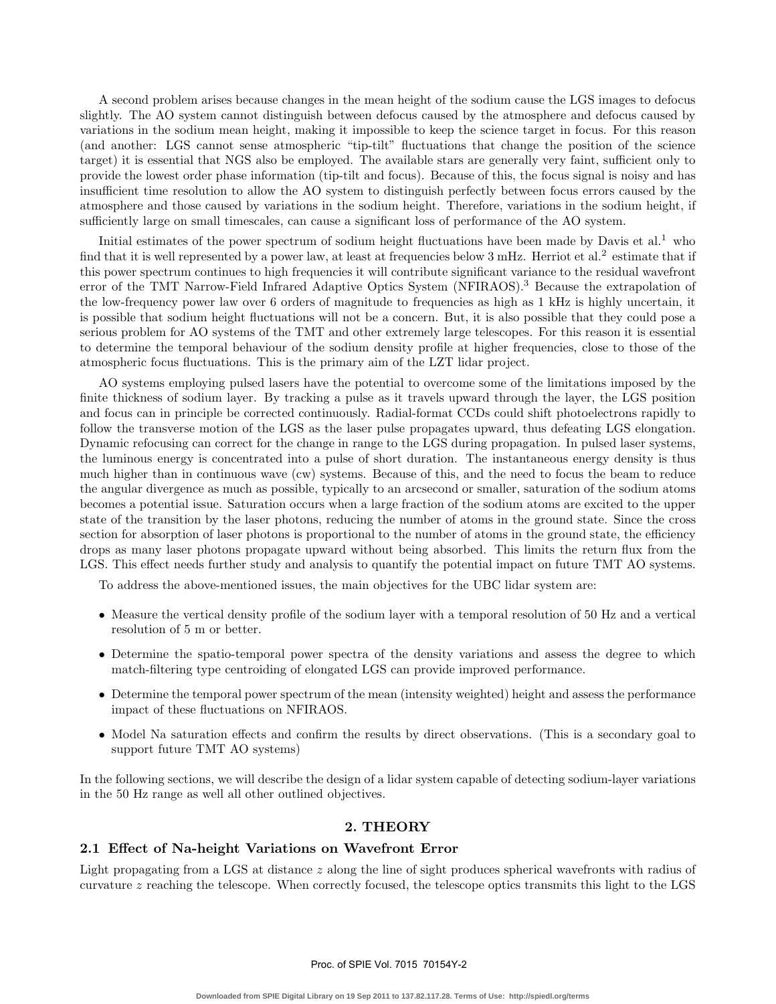A second problem arises because changes in the mean height of the sodium cause the LGS images to defocus slightly. The AO system cannot distinguish between defocus caused by the atmosphere and defocus caused by variations in the sodium mean height, making it impossible to keep the science target in focus. For this reason (and another: LGS cannot sense atmospheric "tip-tilt" fluctuations that change the position of the science target) it is essential that NGS also be employed. The available stars are generally very faint, sufficient only to provide the lowest order phase information (tip-tilt and focus). Because of this, the focus signal is noisy and has insufficient time resolution to allow the AO system to distinguish perfectly between focus errors caused by the atmosphere and those caused by variations in the sodium height. Therefore, variations in the sodium height, if sufficiently large on small timescales, can cause a significant loss of performance of the AO system.

Initial estimates of the power spectrum of sodium height fluctuations have been made by Davis et al.<sup>1</sup> who find that it is well represented by a power law, at least at frequencies below 3 mHz. Herriot et al.<sup>2</sup> estimate that if this power spectrum continues to high frequencies it will contribute significant variance to the residual wavefront error of the TMT Narrow-Field Infrared Adaptive Optics System (NFIRAOS).<sup>3</sup> Because the extrapolation of the low-frequency power law over 6 orders of magnitude to frequencies as high as 1 kHz is highly uncertain, it is possible that sodium height fluctuations will not be a concern. But, it is also possible that they could pose a serious problem for AO systems of the TMT and other extremely large telescopes. For this reason it is essential to determine the temporal behaviour of the sodium density profile at higher frequencies, close to those of the atmospheric focus fluctuations. This is the primary aim of the LZT lidar project.

AO systems employing pulsed lasers have the potential to overcome some of the limitations imposed by the finite thickness of sodium layer. By tracking a pulse as it travels upward through the layer, the LGS position and focus can in principle be corrected continuously. Radial-format CCDs could shift photoelectrons rapidly to follow the transverse motion of the LGS as the laser pulse propagates upward, thus defeating LGS elongation. Dynamic refocusing can correct for the change in range to the LGS during propagation. In pulsed laser systems, the luminous energy is concentrated into a pulse of short duration. The instantaneous energy density is thus much higher than in continuous wave (cw) systems. Because of this, and the need to focus the beam to reduce the angular divergence as much as possible, typically to an arcsecond or smaller, saturation of the sodium atoms becomes a potential issue. Saturation occurs when a large fraction of the sodium atoms are excited to the upper state of the transition by the laser photons, reducing the number of atoms in the ground state. Since the cross section for absorption of laser photons is proportional to the number of atoms in the ground state, the efficiency drops as many laser photons propagate upward without being absorbed. This limits the return flux from the LGS. This effect needs further study and analysis to quantify the potential impact on future TMT AO systems.

To address the above-mentioned issues, the main objectives for the UBC lidar system are:

- Measure the vertical density profile of the sodium layer with a temporal resolution of 50 Hz and a vertical resolution of 5 m or better.
- Determine the spatio-temporal power spectra of the density variations and assess the degree to which match-filtering type centroiding of elongated LGS can provide improved performance.
- Determine the temporal power spectrum of the mean (intensity weighted) height and assess the performance impact of these fluctuations on NFIRAOS.
- Model Na saturation effects and confirm the results by direct observations. (This is a secondary goal to support future TMT AO systems)

In the following sections, we will describe the design of a lidar system capable of detecting sodium-layer variations in the 50 Hz range as well all other outlined objectives.

# **2. THEORY**

#### **2.1 Effect of Na-height Variations on Wavefront Error**

Light propagating from a LGS at distance z along the line of sight produces spherical wavefronts with radius of curvature z reaching the telescope. When correctly focused, the telescope optics transmits this light to the LGS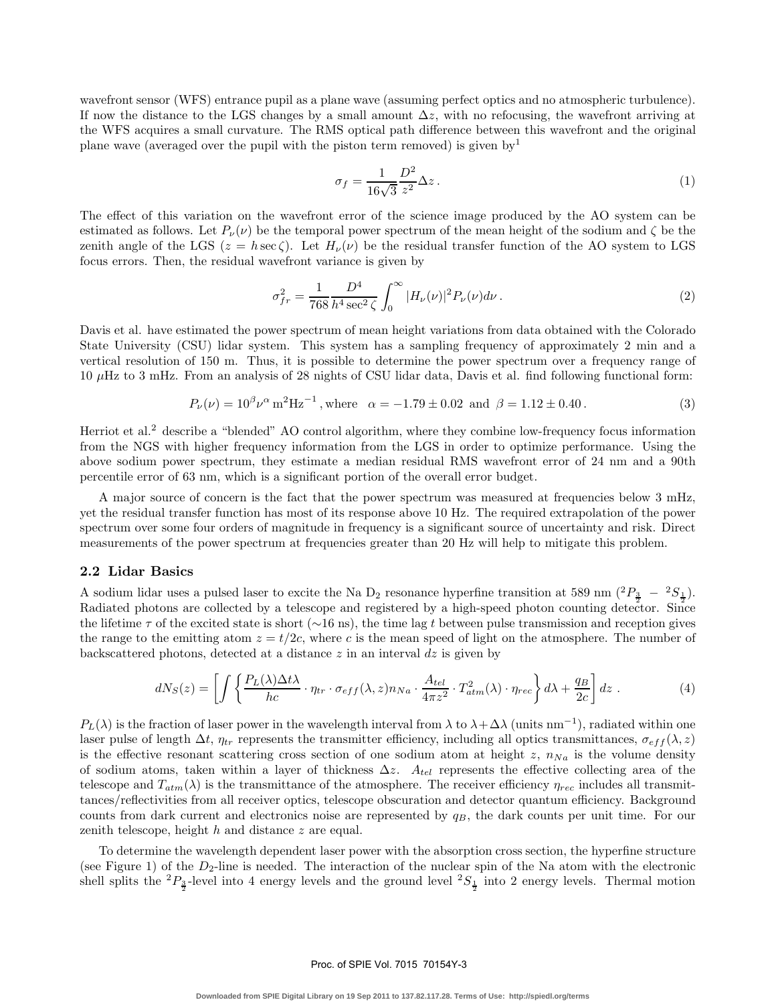wavefront sensor (WFS) entrance pupil as a plane wave (assuming perfect optics and no atmospheric turbulence). If now the distance to the LGS changes by a small amount  $\Delta z$ , with no refocusing, the wavefront arriving at the WFS acquires a small curvature. The RMS optical path difference between this wavefront and the original plane wave (averaged over the pupil with the piston term removed) is given by<sup>1</sup>

$$
\sigma_f = \frac{1}{16\sqrt{3}} \frac{D^2}{z^2} \Delta z \,. \tag{1}
$$

The effect of this variation on the wavefront error of the science image produced by the AO system can be estimated as follows. Let  $P_{\nu}(\nu)$  be the temporal power spectrum of the mean height of the sodium and  $\zeta$  be the zenith angle of the LGS ( $z = h \sec \zeta$ ). Let  $H_{\nu}(\nu)$  be the residual transfer function of the AO system to LGS focus errors. Then, the residual wavefront variance is given by

$$
\sigma_{fr}^2 = \frac{1}{768} \frac{D^4}{h^4 \sec^2 \zeta} \int_0^\infty |H_\nu(\nu)|^2 P_\nu(\nu) d\nu \,. \tag{2}
$$

Davis et al. have estimated the power spectrum of mean height variations from data obtained with the Colorado State University (CSU) lidar system. This system has a sampling frequency of approximately 2 min and a vertical resolution of 150 m. Thus, it is possible to determine the power spectrum over a frequency range of 10 µHz to 3 mHz. From an analysis of 28 nights of CSU lidar data, Davis et al. find following functional form:

$$
P_{\nu}(\nu) = 10^{\beta} \nu^{\alpha} \,\mathrm{m}^{2} \mathrm{Hz}^{-1}, \text{where} \quad \alpha = -1.79 \pm 0.02 \text{ and } \beta = 1.12 \pm 0.40 \,. \tag{3}
$$

Herriot et al.<sup>2</sup> describe a "blended" AO control algorithm, where they combine low-frequency focus information from the NGS with higher frequency information from the LGS in order to optimize performance. Using the above sodium power spectrum, they estimate a median residual RMS wavefront error of 24 nm and a 90th percentile error of 63 nm, which is a significant portion of the overall error budget.

A major source of concern is the fact that the power spectrum was measured at frequencies below 3 mHz, yet the residual transfer function has most of its response above 10 Hz. The required extrapolation of the power spectrum over some four orders of magnitude in frequency is a significant source of uncertainty and risk. Direct measurements of the power spectrum at frequencies greater than 20 Hz will help to mitigate this problem.

#### **2.2 Lidar Basics**

A sodium lidar uses a pulsed laser to excite the Na D<sub>2</sub> resonance hyperfine transition at 589 nm  $(^{2}P_{\frac{3}{2}} - \frac{2S_{\frac{1}{2}}}{2})$ . Radiated photons are collected by a telescope and registered by a high-speed photon counting detector. Since the lifetime  $\tau$  of the excited state is short (∼16 ns), the time lag t between pulse transmission and reception gives the range to the emitting atom  $z = t/2c$ , where c is the mean speed of light on the atmosphere. The number of backscattered photons, detected at a distance  $z$  in an interval  $dz$  is given by

$$
dN_S(z) = \left[ \int \left\{ \frac{P_L(\lambda)\Delta t\lambda}{hc} \cdot \eta_{tr} \cdot \sigma_{eff}(\lambda, z) n_{Na} \cdot \frac{A_{tel}}{4\pi z^2} \cdot T_{atm}^2(\lambda) \cdot \eta_{rec} \right\} d\lambda + \frac{q_B}{2c} \right] dz \tag{4}
$$

 $P_L(\lambda)$  is the fraction of laser power in the wavelength interval from  $\lambda$  to  $\lambda + \Delta\lambda$  (units nm<sup>-1</sup>), radiated within one laser pulse of length  $\Delta t$ ,  $\eta_{tr}$  represents the transmitter efficiency, including all optics transmittances,  $\sigma_{eff}(\lambda, z)$ is the effective resonant scattering cross section of one sodium atom at height z,  $n_{Na}$  is the volume density of sodium atoms, taken within a layer of thickness  $\Delta z$ .  $A_{tel}$  represents the effective collecting area of the telescope and  $T_{atm}(\lambda)$  is the transmittance of the atmosphere. The receiver efficiency  $\eta_{rec}$  includes all transmittances/reflectivities from all receiver optics, telescope obscuration and detector quantum efficiency. Background counts from dark current and electronics noise are represented by  $q_B$ , the dark counts per unit time. For our zenith telescope, height  $h$  and distance  $z$  are equal.

To determine the wavelength dependent laser power with the absorption cross section, the hyperfine structure (see Figure 1) of the  $D_2$ -line is needed. The interaction of the nuclear spin of the Na atom with the electronic shell splits the  ${}^{2}P_{\frac{3}{2}}$ -level into 4 energy levels and the ground level  ${}^{2}S_{\frac{1}{2}}$  into 2 energy levels. Thermal motion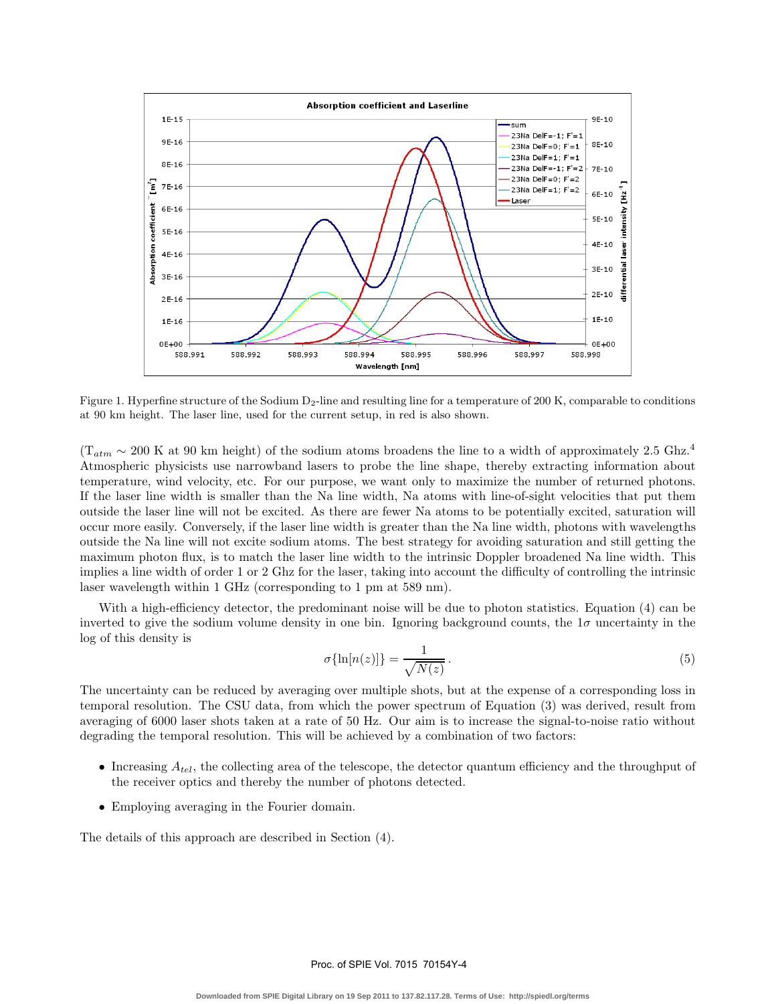

Figure 1. Hyperfine structure of the Sodium  $D_2$ -line and resulting line for a temperature of 200 K, comparable to conditions at 90 km height. The laser line, used for the current setup, in red is also shown.

 $(T_{atm} \sim 200 \text{ K at } 90 \text{ km height})$  of the sodium atoms broadens the line to a width of approximately 2.5 Ghz.<sup>4</sup> Atmospheric physicists use narrowband lasers to probe the line shape, thereby extracting information about temperature, wind velocity, etc. For our purpose, we want only to maximize the number of returned photons. If the laser line width is smaller than the Na line width, Na atoms with line-of-sight velocities that put them outside the laser line will not be excited. As there are fewer Na atoms to be potentially excited, saturation will occur more easily. Conversely, if the laser line width is greater than the Na line width, photons with wavelengths outside the Na line will not excite sodium atoms. The best strategy for avoiding saturation and still getting the maximum photon flux, is to match the laser line width to the intrinsic Doppler broadened Na line width. This implies a line width of order 1 or 2 Ghz for the laser, taking into account the difficulty of controlling the intrinsic laser wavelength within 1 GHz (corresponding to 1 pm at 589 nm).

With a high-efficiency detector, the predominant noise will be due to photon statistics. Equation (4) can be inverted to give the sodium volume density in one bin. Ignoring background counts, the  $1\sigma$  uncertainty in the log of this density is

$$
\sigma\{\ln[n(z)]\} = \frac{1}{\sqrt{N(z)}}.
$$
\n(5)

The uncertainty can be reduced by averaging over multiple shots, but at the expense of a corresponding loss in temporal resolution. The CSU data, from which the power spectrum of Equation (3) was derived, result from averaging of 6000 laser shots taken at a rate of 50 Hz. Our aim is to increase the signal-to-noise ratio without degrading the temporal resolution. This will be achieved by a combination of two factors:

- Increasing  $A_{tel}$ , the collecting area of the telescope, the detector quantum efficiency and the throughput of the receiver optics and thereby the number of photons detected.
- Employing averaging in the Fourier domain.

The details of this approach are described in Section (4).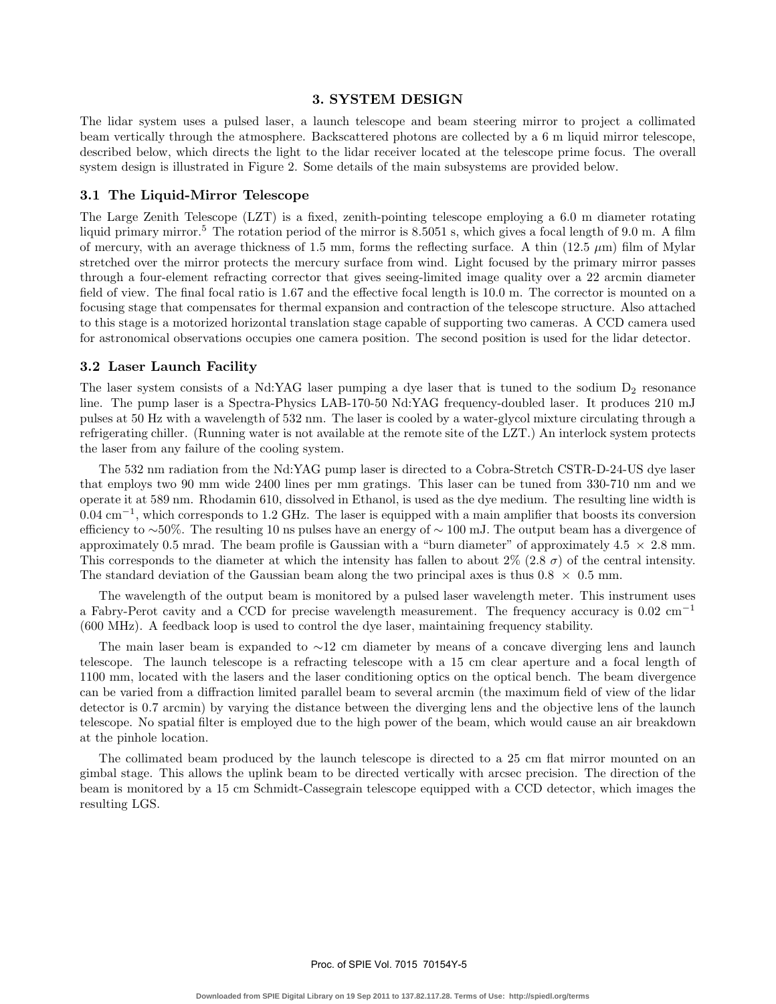#### **3. SYSTEM DESIGN**

The lidar system uses a pulsed laser, a launch telescope and beam steering mirror to project a collimated beam vertically through the atmosphere. Backscattered photons are collected by a 6 m liquid mirror telescope, described below, which directs the light to the lidar receiver located at the telescope prime focus. The overall system design is illustrated in Figure 2. Some details of the main subsystems are provided below.

# **3.1 The Liquid-Mirror Telescope**

The Large Zenith Telescope (LZT) is a fixed, zenith-pointing telescope employing a 6.0 m diameter rotating liquid primary mirror.<sup>5</sup> The rotation period of the mirror is 8.5051 s, which gives a focal length of 9.0 m. A film of mercury, with an average thickness of 1.5 mm, forms the reflecting surface. A thin  $(12.5 \mu m)$  film of Mylar stretched over the mirror protects the mercury surface from wind. Light focused by the primary mirror passes through a four-element refracting corrector that gives seeing-limited image quality over a 22 arcmin diameter field of view. The final focal ratio is 1.67 and the effective focal length is 10.0 m. The corrector is mounted on a focusing stage that compensates for thermal expansion and contraction of the telescope structure. Also attached to this stage is a motorized horizontal translation stage capable of supporting two cameras. A CCD camera used for astronomical observations occupies one camera position. The second position is used for the lidar detector.

# **3.2 Laser Launch Facility**

The laser system consists of a Nd:YAG laser pumping a dye laser that is tuned to the sodium  $D_2$  resonance line. The pump laser is a Spectra-Physics LAB-170-50 Nd:YAG frequency-doubled laser. It produces 210 mJ pulses at 50 Hz with a wavelength of 532 nm. The laser is cooled by a water-glycol mixture circulating through a refrigerating chiller. (Running water is not available at the remote site of the LZT.) An interlock system protects the laser from any failure of the cooling system.

The 532 nm radiation from the Nd:YAG pump laser is directed to a Cobra-Stretch CSTR-D-24-US dye laser that employs two 90 mm wide 2400 lines per mm gratings. This laser can be tuned from 330-710 nm and we operate it at 589 nm. Rhodamin 610, dissolved in Ethanol, is used as the dye medium. The resulting line width is 0.04 cm−<sup>1</sup>, which corresponds to 1.2 GHz. The laser is equipped with a main amplifier that boosts its conversion efficiency to ∼50%. The resulting 10 ns pulses have an energy of ∼ 100 mJ. The output beam has a divergence of approximately 0.5 mrad. The beam profile is Gaussian with a "burn diameter" of approximately  $4.5 \times 2.8$  mm. This corresponds to the diameter at which the intensity has fallen to about  $2\%$  (2.8  $\sigma$ ) of the central intensity. The standard deviation of the Gaussian beam along the two principal axes is thus  $0.8 \times 0.5$  mm.

The wavelength of the output beam is monitored by a pulsed laser wavelength meter. This instrument uses a Fabry-Perot cavity and a CCD for precise wavelength measurement. The frequency accuracy is 0.02 cm−<sup>1</sup> (600 MHz). A feedback loop is used to control the dye laser, maintaining frequency stability.

The main laser beam is expanded to ∼12 cm diameter by means of a concave diverging lens and launch telescope. The launch telescope is a refracting telescope with a 15 cm clear aperture and a focal length of 1100 mm, located with the lasers and the laser conditioning optics on the optical bench. The beam divergence can be varied from a diffraction limited parallel beam to several arcmin (the maximum field of view of the lidar detector is 0.7 arcmin) by varying the distance between the diverging lens and the objective lens of the launch telescope. No spatial filter is employed due to the high power of the beam, which would cause an air breakdown at the pinhole location.

The collimated beam produced by the launch telescope is directed to a 25 cm flat mirror mounted on an gimbal stage. This allows the uplink beam to be directed vertically with arcsec precision. The direction of the beam is monitored by a 15 cm Schmidt-Cassegrain telescope equipped with a CCD detector, which images the resulting LGS.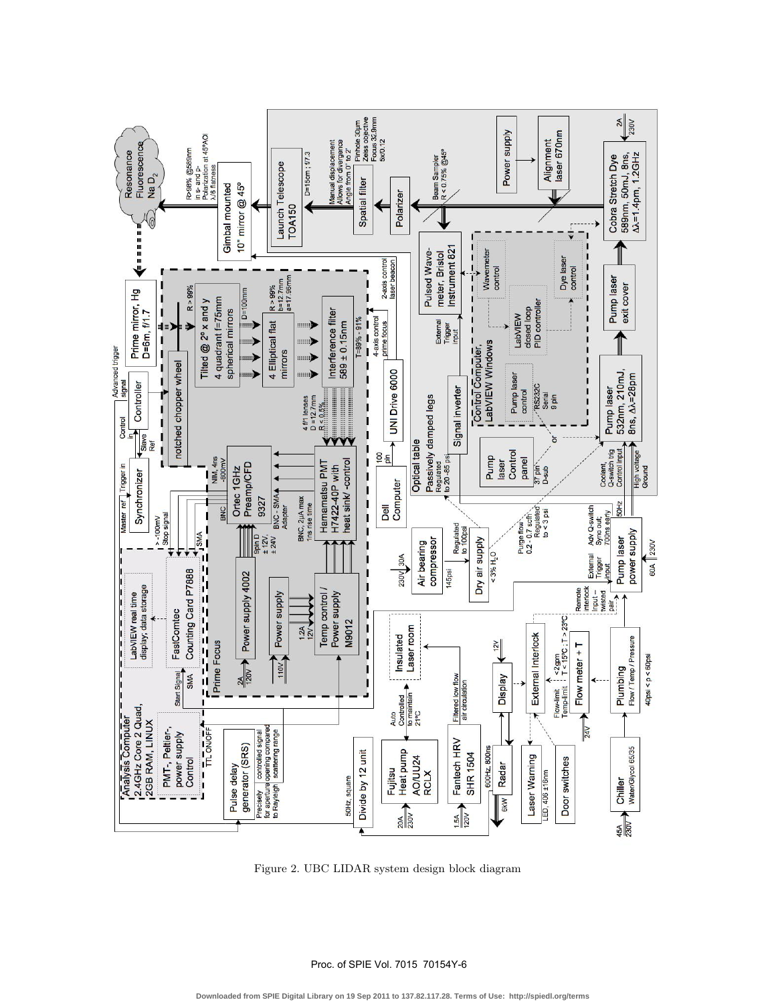

Figure 2. UBC LIDAR system design block diagram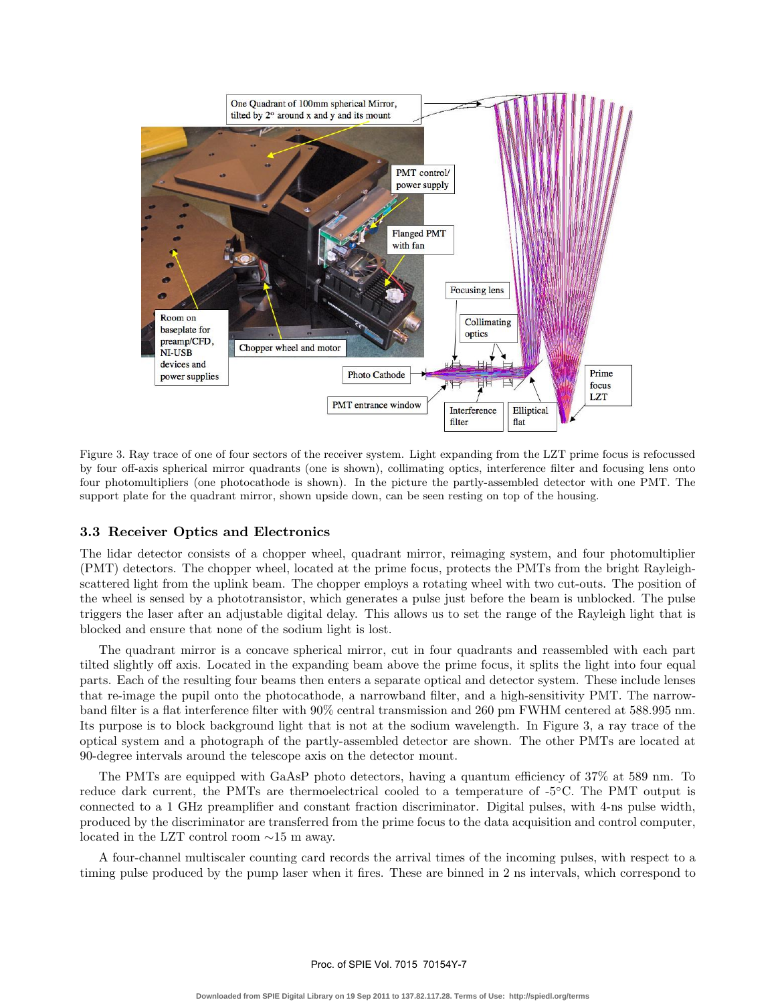

Figure 3. Ray trace of one of four sectors of the receiver system. Light expanding from the LZT prime focus is refocussed by four off-axis spherical mirror quadrants (one is shown), collimating optics, interference filter and focusing lens onto four photomultipliers (one photocathode is shown). In the picture the partly-assembled detector with one PMT. The support plate for the quadrant mirror, shown upside down, can be seen resting on top of the housing.

# **3.3 Receiver Optics and Electronics**

The lidar detector consists of a chopper wheel, quadrant mirror, reimaging system, and four photomultiplier (PMT) detectors. The chopper wheel, located at the prime focus, protects the PMTs from the bright Rayleighscattered light from the uplink beam. The chopper employs a rotating wheel with two cut-outs. The position of the wheel is sensed by a phototransistor, which generates a pulse just before the beam is unblocked. The pulse triggers the laser after an adjustable digital delay. This allows us to set the range of the Rayleigh light that is blocked and ensure that none of the sodium light is lost.

The quadrant mirror is a concave spherical mirror, cut in four quadrants and reassembled with each part tilted slightly off axis. Located in the expanding beam above the prime focus, it splits the light into four equal parts. Each of the resulting four beams then enters a separate optical and detector system. These include lenses that re-image the pupil onto the photocathode, a narrowband filter, and a high-sensitivity PMT. The narrowband filter is a flat interference filter with 90% central transmission and 260 pm FWHM centered at 588.995 nm. Its purpose is to block background light that is not at the sodium wavelength. In Figure 3, a ray trace of the optical system and a photograph of the partly-assembled detector are shown. The other PMTs are located at 90-degree intervals around the telescope axis on the detector mount.

The PMTs are equipped with GaAsP photo detectors, having a quantum efficiency of 37% at 589 nm. To reduce dark current, the PMTs are thermoelectrical cooled to a temperature of -5◦C. The PMT output is connected to a 1 GHz preamplifier and constant fraction discriminator. Digital pulses, with 4-ns pulse width, produced by the discriminator are transferred from the prime focus to the data acquisition and control computer, located in the LZT control room ∼15 m away.

A four-channel multiscaler counting card records the arrival times of the incoming pulses, with respect to a timing pulse produced by the pump laser when it fires. These are binned in 2 ns intervals, which correspond to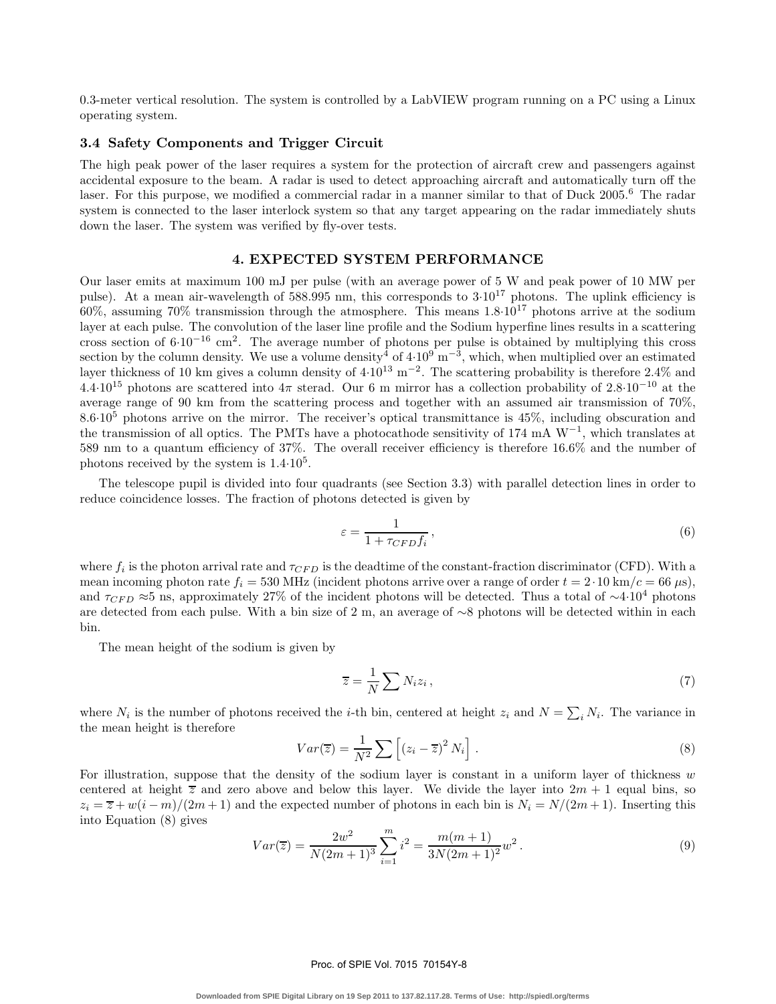0.3-meter vertical resolution. The system is controlled by a LabVIEW program running on a PC using a Linux operating system.

#### **3.4 Safety Components and Trigger Circuit**

The high peak power of the laser requires a system for the protection of aircraft crew and passengers against accidental exposure to the beam. A radar is used to detect approaching aircraft and automatically turn off the laser. For this purpose, we modified a commercial radar in a manner similar to that of Duck 2005.<sup>6</sup> The radar system is connected to the laser interlock system so that any target appearing on the radar immediately shuts down the laser. The system was verified by fly-over tests.

# **4. EXPECTED SYSTEM PERFORMANCE**

Our laser emits at maximum 100 mJ per pulse (with an average power of 5 W and peak power of 10 MW per pulse). At a mean air-wavelength of  $588.995$  nm, this corresponds to  $3.10^{17}$  photons. The uplink efficiency is 60%, assuming 70% transmission through the atmosphere. This means  $1.8 \cdot 10^{17}$  photons arrive at the sodium layer at each pulse. The convolution of the laser line profile and the Sodium hyperfine lines results in a scattering cross section of  $6·10<sup>-16</sup>$  cm<sup>2</sup>. The average number of photons per pulse is obtained by multiplying this cross section by the column density. We use a volume density<sup>4</sup> of  $4\cdot10^9$  m<sup>-3</sup>, which, when multiplied over an estimated layer thickness of 10 km gives a column density of  $4\cdot10^{13}$  m<sup>-2</sup>. The scattering probability is therefore 2.4% and 4.4·10<sup>15</sup> photons are scattered into  $4\pi$  sterad. Our 6 m mirror has a collection probability of 2.8·10<sup>-10</sup> at the average range of 90 km from the scattering process and together with an assumed air transmission of 70%,  $8.6 \cdot 10^5$  photons arrive on the mirror. The receiver's optical transmittance is 45%, including obscuration and the transmission of all optics. The PMTs have a photocathode sensitivity of 174 mA W−<sup>1</sup>, which translates at 589 nm to a quantum efficiency of 37%. The overall receiver efficiency is therefore 16.6% and the number of photons received by the system is  $1.4 \cdot 10^5$ .

The telescope pupil is divided into four quadrants (see Section 3.3) with parallel detection lines in order to reduce coincidence losses. The fraction of photons detected is given by

$$
\varepsilon = \frac{1}{1 + \tau_{CFD} f_i},\tag{6}
$$

where  $f_i$  is the photon arrival rate and  $\tau_{CFD}$  is the deadtime of the constant-fraction discriminator (CFD). With a mean incoming photon rate  $f_i = 530$  MHz (incident photons arrive over a range of order  $t = 2 \cdot 10$  km/c = 66  $\mu$ s), and  $\tau_{CFD} \approx 5$  ns, approximately 27% of the incident photons will be detected. Thus a total of  $\sim 4.10^4$  photons are detected from each pulse. With a bin size of 2 m, an average of ∼8 photons will be detected within in each bin.

The mean height of the sodium is given by

$$
\overline{z} = \frac{1}{N} \sum N_i z_i , \qquad (7)
$$

where  $N_i$  is the number of photons received the *i*-th bin, centered at height  $z_i$  and  $N = \sum_i N_i$ . The variance in the mean height is therefore

$$
Var(\overline{z}) = \frac{1}{N^2} \sum \left[ (z_i - \overline{z})^2 N_i \right]. \tag{8}
$$

For illustration, suppose that the density of the sodium layer is constant in a uniform layer of thickness  $w$ centered at height  $\overline{z}$  and zero above and below this layer. We divide the layer into  $2m + 1$  equal bins, so  $z_i = \overline{z} + w(i-m)/(2m+1)$  and the expected number of photons in each bin is  $N_i = N/(2m+1)$ . Inserting this into Equation (8) gives

$$
Var(\overline{z}) = \frac{2w^2}{N(2m+1)^3} \sum_{i=1}^{m} i^2 = \frac{m(m+1)}{3N(2m+1)^2} w^2.
$$
\n(9)

#### Proc. of SPIE Vol. 7015 70154Y-8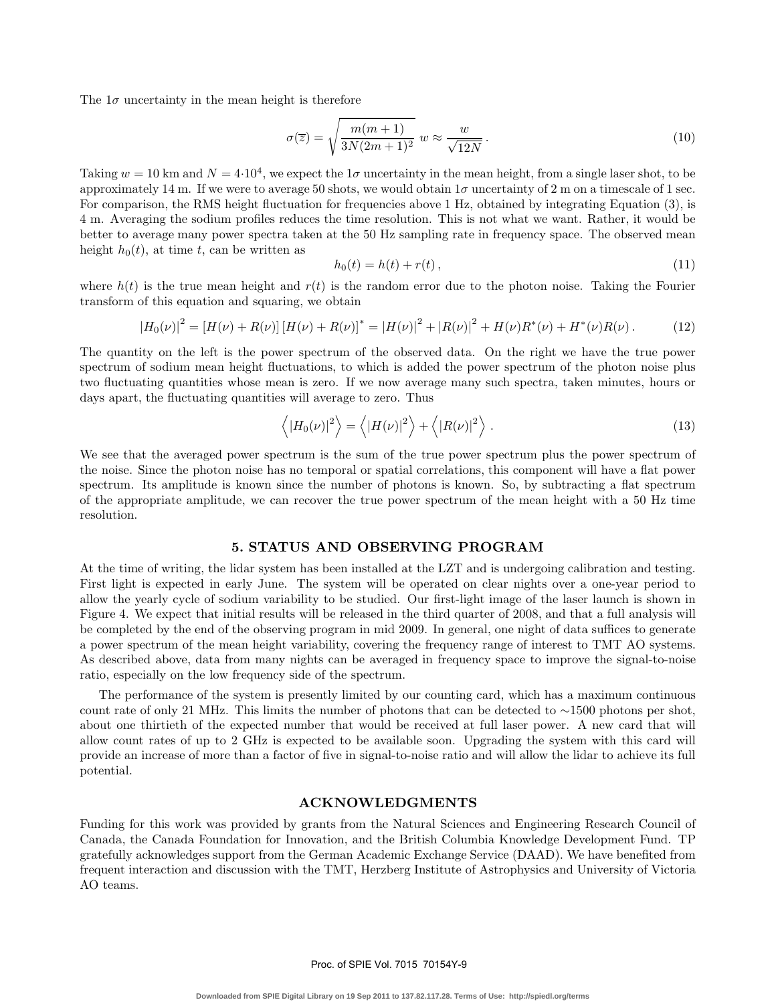The  $1\sigma$  uncertainty in the mean height is therefore

$$
\sigma(\overline{z}) = \sqrt{\frac{m(m+1)}{3N(2m+1)^2}} w \approx \frac{w}{\sqrt{12N}}.
$$
\n(10)

Taking  $w = 10$  km and  $N = 4.10<sup>4</sup>$ , we expect the 1 $\sigma$  uncertainty in the mean height, from a single laser shot, to be approximately 14 m. If we were to average 50 shots, we would obtain  $1\sigma$  uncertainty of 2 m on a timescale of 1 sec. For comparison, the RMS height fluctuation for frequencies above 1 Hz, obtained by integrating Equation (3), is 4 m. Averaging the sodium profiles reduces the time resolution. This is not what we want. Rather, it would be better to average many power spectra taken at the 50 Hz sampling rate in frequency space. The observed mean height  $h_0(t)$ , at time t, can be written as

$$
h_0(t) = h(t) + r(t),
$$
\n(11)

where  $h(t)$  is the true mean height and  $r(t)$  is the random error due to the photon noise. Taking the Fourier transform of this equation and squaring, we obtain

$$
|H_0(\nu)|^2 = [H(\nu) + R(\nu)][H(\nu) + R(\nu)]^* = |H(\nu)|^2 + |R(\nu)|^2 + H(\nu)R^*(\nu) + H^*(\nu)R(\nu).
$$
 (12)

The quantity on the left is the power spectrum of the observed data. On the right we have the true power spectrum of sodium mean height fluctuations, to which is added the power spectrum of the photon noise plus two fluctuating quantities whose mean is zero. If we now average many such spectra, taken minutes, hours or days apart, the fluctuating quantities will average to zero. Thus

$$
\langle |H_0(\nu)|^2 \rangle = \langle |H(\nu)|^2 \rangle + \langle |R(\nu)|^2 \rangle. \tag{13}
$$

We see that the averaged power spectrum is the sum of the true power spectrum plus the power spectrum of the noise. Since the photon noise has no temporal or spatial correlations, this component will have a flat power spectrum. Its amplitude is known since the number of photons is known. So, by subtracting a flat spectrum of the appropriate amplitude, we can recover the true power spectrum of the mean height with a 50 Hz time resolution.

#### **5. STATUS AND OBSERVING PROGRAM**

At the time of writing, the lidar system has been installed at the LZT and is undergoing calibration and testing. First light is expected in early June. The system will be operated on clear nights over a one-year period to allow the yearly cycle of sodium variability to be studied. Our first-light image of the laser launch is shown in Figure 4. We expect that initial results will be released in the third quarter of 2008, and that a full analysis will be completed by the end of the observing program in mid 2009. In general, one night of data suffices to generate a power spectrum of the mean height variability, covering the frequency range of interest to TMT AO systems. As described above, data from many nights can be averaged in frequency space to improve the signal-to-noise ratio, especially on the low frequency side of the spectrum.

The performance of the system is presently limited by our counting card, which has a maximum continuous count rate of only 21 MHz. This limits the number of photons that can be detected to ∼1500 photons per shot, about one thirtieth of the expected number that would be received at full laser power. A new card that will allow count rates of up to 2 GHz is expected to be available soon. Upgrading the system with this card will provide an increase of more than a factor of five in signal-to-noise ratio and will allow the lidar to achieve its full potential.

# **ACKNOWLEDGMENTS**

Funding for this work was provided by grants from the Natural Sciences and Engineering Research Council of Canada, the Canada Foundation for Innovation, and the British Columbia Knowledge Development Fund. TP gratefully acknowledges support from the German Academic Exchange Service (DAAD). We have benefited from frequent interaction and discussion with the TMT, Herzberg Institute of Astrophysics and University of Victoria AO teams.